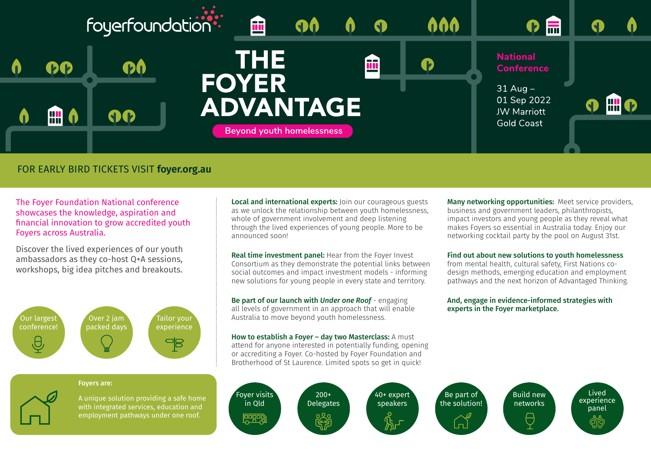

## FOR EARLY BIRD TICKETS VISIT **foyer.org.au**

The Foyer Foundation National conference showcases the knowledge, aspiration and financial innovation to grow accredited youth Foyers across Australia.

Discover the lived experiences of our youth ambassadors as they co-host Q+A sessions, workshops, big idea pitches and breakouts.



### Foyers are:



A unique solution providing a safe home with integrated services, education and employment pathways under one roof.

Local and international experts: Join our courageous guests as we unlock the relationship between youth homelessness, whole of government involvement and deep listening through the lived experiences of young people. More to be announced soon!

Real time investment panel: Hear from the Fover Invest Consortium as they demonstrate the potential links between social outcomes and impact investment models - informing new solutions for young people in every state and territory.

Be part of our launch with *Under one Roof* - engaging all levels of government in an approach that will enable Australia to move beyond youth homelessness.

How to establish a Foyer - day two Masterclass: A must attend for anyone interested in potentially funding, opening or accrediting a Foyer. Co-hosted by Foyer Foundation and Brotherhood of St Laurence. Limited spots so get in quick!

Many networking opportunities: Meet service providers, business and government leaders, philanthropists, impact investors and young people as they reveal what makes Foyers so essential in Australia today. Enjoy our networking cocktail party by the pool on August 31st.

#### Find out about new solutions to youth homelessness

from mental health, cultural safety, First Nations codesign methods, emerging education and employment pathways and the next horizon of Advantaged Thinking.

And, engage in evidence-informed strategies with experts in the Foyer marketplace.

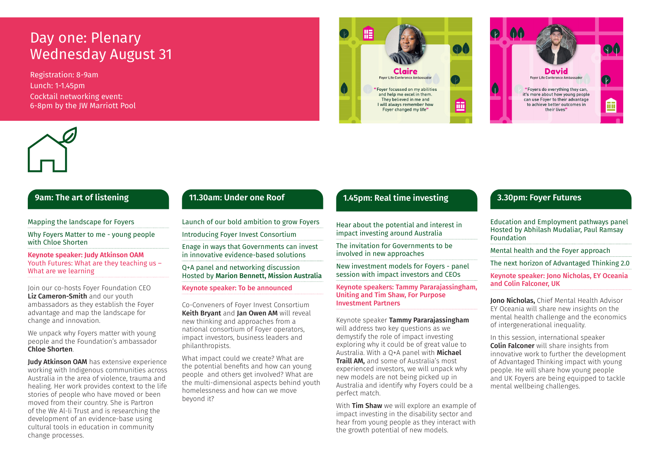# Day one: Plenary Wednesday August 31

Registration: 8-9am Lunch: 1-1.45pm Cocktail networking event: 6-8pm by the JW Marriott Pool







# **9am: The art of listening**

Mapping the landscape for Foyers

Why Foyers Matter to me - young people with Chloe Shorten

**Keynote speaker: Judy Atkinson OAM** Youth Futures: What are they teaching us – What are we learning

Join our co-hosts Foyer Foundation CEO Liz Cameron-Smith and our youth ambassadors as they establish the Foyer advantage and map the landscape for change and innovation.

We unpack why Foyers matter with young people and the Foundation's ambassador Chloe Shorten.

**Judy Atkinson OAM** has extensive experience working with Indigenous communities across Australia in the area of violence, trauma and healing. Her work provides context to the life stories of people who have moved or been moved from their country. She is Partron of the We Al-li Trust and is researching the development of an evidence-base using cultural tools in education in community change processes.

## **11.30am: Under one Roof**

Launch of our bold ambition to grow Foyers

Introducing Foyer Invest Consortium

Enage in ways that Governments can invest in innovative evidence-based solutions

Q+A panel and networking discussion Hosted by Marion Bennett, Mission Australia

### Keynote speaker: To be announced

Co-Conveners of Foyer Invest Consortium Keith Bryant and Jan Owen AM will reveal new thinking and approaches from a national consortium of Foyer operators, impact investors, business leaders and philanthropists.

What impact could we create? What are the potential benefits and how can young people and others get involved? What are the multi-dimensional aspects behind youth homelessness and how can we move beyond it?

# **1.45pm: Real time investing**

Hear about the potential and interest in impact investing around Australia

The invitation for Governments to be involved in new approaches

New investment models for Foyers - panel session with impact investors and CEOs

Keynote speakers: Tammy Pararajassingham, Uniting and Tim Shaw, For Purpose Investment Partners

Keynote speaker Tammy Pararajassingham will address two key questions as we demystify the role of impact investing exploring why it could be of great value to Australia. With a Q+A panel with Michael **Traill AM, and some of Australia's most** experienced investors, we will unpack why new models are not being picked up in Australia and identify why Foyers could be a perfect match.

With Tim Shaw we will explore an example of impact investing in the disability sector and hear from young people as they interact with the growth potential of new models.

## **3.30pm: Foyer Futures**

Education and Employment pathways panel Hosted by Abhilash Mudaliar, Paul Ramsay Foundation

Mental health and the Foyer approach

The next horizon of Advantaged Thinking 2.0

Keynote speaker: Jono Nicholas, EY Oceania and Colin Falconer, UK

Jono Nicholas, Chief Mental Health Advisor EY Oceania will share new insights on the mental health challenge and the economics of intergenerational inequality.

In this session, international speaker Colin Falconer will share insights from innovative work to further the development of Advantaged Thinking impact with young people. He will share how young people and UK Foyers are being equipped to tackle mental wellbeing challenges.